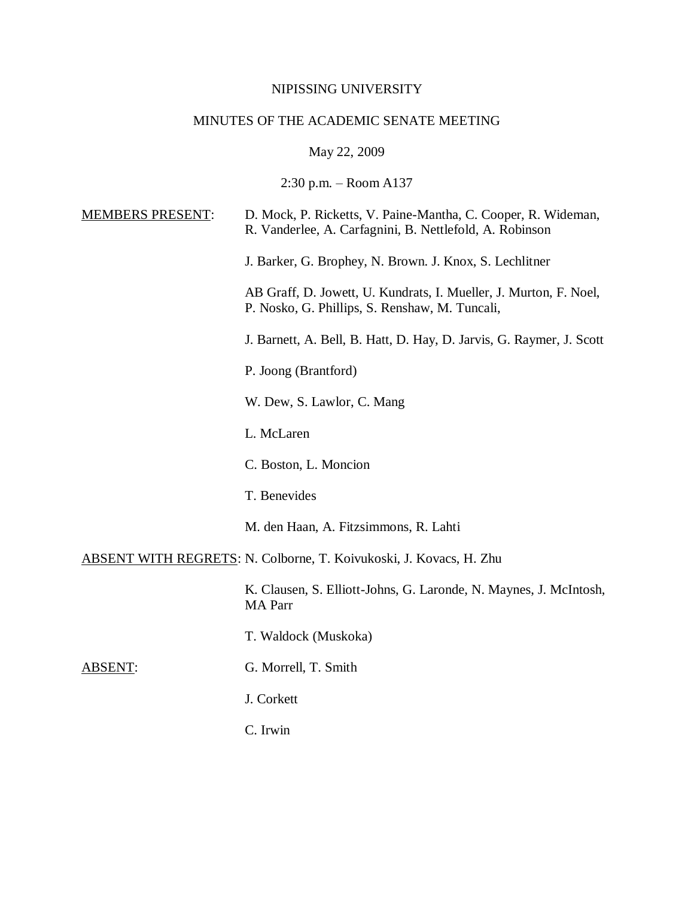### NIPISSING UNIVERSITY

## MINUTES OF THE ACADEMIC SENATE MEETING

# May 22, 2009

2:30 p.m. – Room A137

| <b>MEMBERS PRESENT:</b> | D. Mock, P. Ricketts, V. Paine-Mantha, C. Cooper, R. Wideman,<br>R. Vanderlee, A. Carfagnini, B. Nettlefold, A. Robinson |
|-------------------------|--------------------------------------------------------------------------------------------------------------------------|
|                         | J. Barker, G. Brophey, N. Brown. J. Knox, S. Lechlitner                                                                  |
|                         | AB Graff, D. Jowett, U. Kundrats, I. Mueller, J. Murton, F. Noel,<br>P. Nosko, G. Phillips, S. Renshaw, M. Tuncali,      |
|                         | J. Barnett, A. Bell, B. Hatt, D. Hay, D. Jarvis, G. Raymer, J. Scott                                                     |
|                         | P. Joong (Brantford)                                                                                                     |
|                         | W. Dew, S. Lawlor, C. Mang                                                                                               |
|                         | L. McLaren                                                                                                               |
|                         | C. Boston, L. Moncion                                                                                                    |
|                         | T. Benevides                                                                                                             |
|                         | M. den Haan, A. Fitzsimmons, R. Lahti                                                                                    |
|                         | ABSENT WITH REGRETS: N. Colborne, T. Koivukoski, J. Kovacs, H. Zhu                                                       |
|                         | K. Clausen, S. Elliott-Johns, G. Laronde, N. Maynes, J. McIntosh,<br><b>MA</b> Parr                                      |
|                         | T. Waldock (Muskoka)                                                                                                     |
|                         |                                                                                                                          |

ABSENT: G. Morrell, T. Smith

J. Corkett

C. Irwin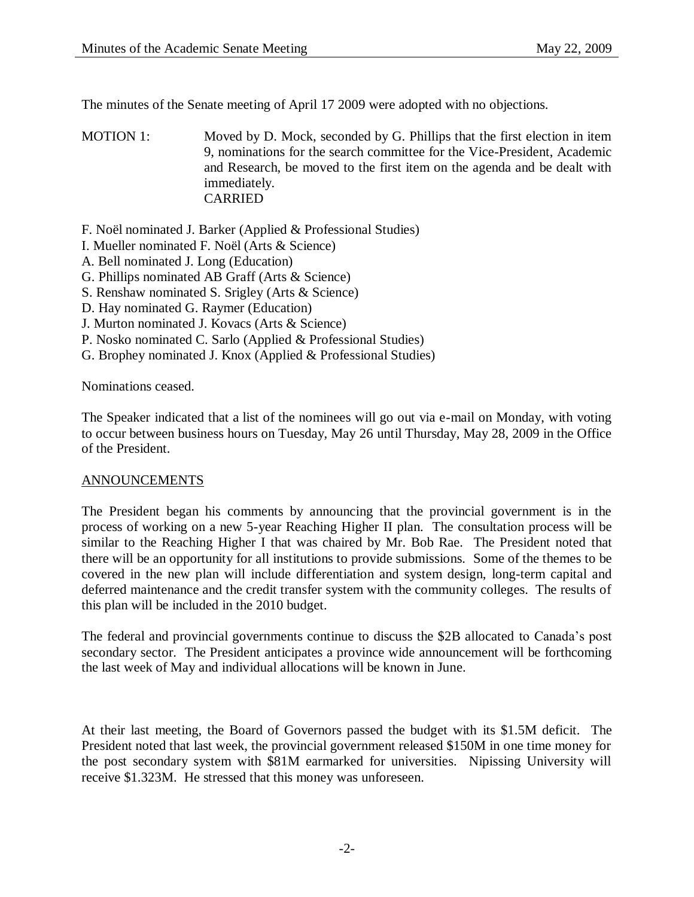The minutes of the Senate meeting of April 17 2009 were adopted with no objections.

MOTION 1: Moved by D. Mock, seconded by G. Phillips that the first election in item 9, nominations for the search committee for the Vice-President, Academic and Research, be moved to the first item on the agenda and be dealt with immediately. CARRIED

F. Noël nominated J. Barker (Applied & Professional Studies)

- I. Mueller nominated F. Noël (Arts & Science)
- A. Bell nominated J. Long (Education)
- G. Phillips nominated AB Graff (Arts & Science)
- S. Renshaw nominated S. Srigley (Arts & Science)
- D. Hay nominated G. Raymer (Education)
- J. Murton nominated J. Kovacs (Arts & Science)
- P. Nosko nominated C. Sarlo (Applied & Professional Studies)
- G. Brophey nominated J. Knox (Applied & Professional Studies)

Nominations ceased.

The Speaker indicated that a list of the nominees will go out via e-mail on Monday, with voting to occur between business hours on Tuesday, May 26 until Thursday, May 28, 2009 in the Office of the President.

#### ANNOUNCEMENTS

The President began his comments by announcing that the provincial government is in the process of working on a new 5-year Reaching Higher II plan. The consultation process will be similar to the Reaching Higher I that was chaired by Mr. Bob Rae. The President noted that there will be an opportunity for all institutions to provide submissions. Some of the themes to be covered in the new plan will include differentiation and system design, long-term capital and deferred maintenance and the credit transfer system with the community colleges. The results of this plan will be included in the 2010 budget.

The federal and provincial governments continue to discuss the \$2B allocated to Canada's post secondary sector. The President anticipates a province wide announcement will be forthcoming the last week of May and individual allocations will be known in June.

At their last meeting, the Board of Governors passed the budget with its \$1.5M deficit. The President noted that last week, the provincial government released \$150M in one time money for the post secondary system with \$81M earmarked for universities. Nipissing University will receive \$1.323M. He stressed that this money was unforeseen.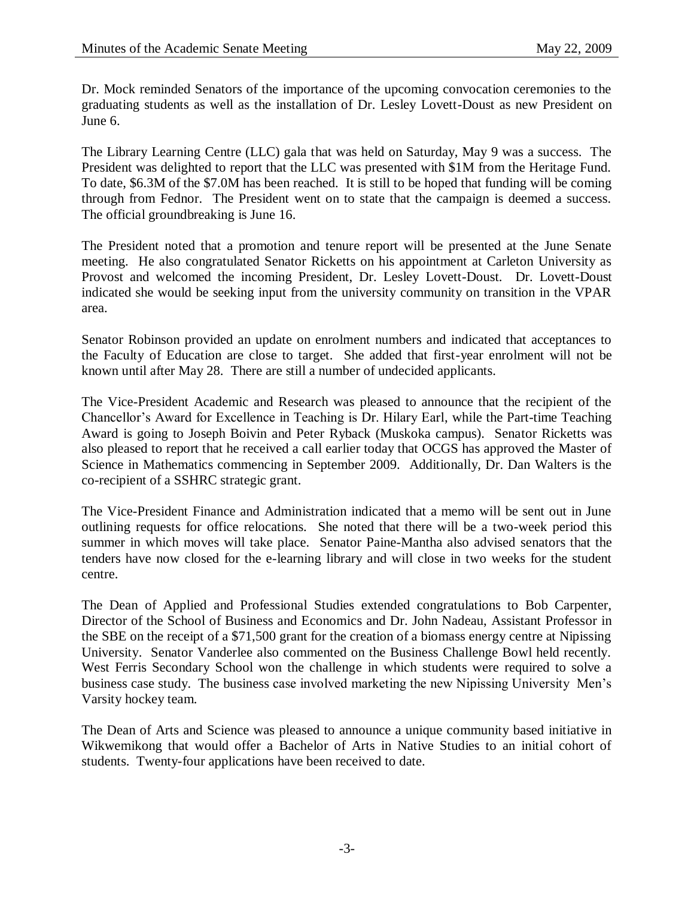Dr. Mock reminded Senators of the importance of the upcoming convocation ceremonies to the graduating students as well as the installation of Dr. Lesley Lovett-Doust as new President on June 6.

The Library Learning Centre (LLC) gala that was held on Saturday, May 9 was a success. The President was delighted to report that the LLC was presented with \$1M from the Heritage Fund. To date, \$6.3M of the \$7.0M has been reached. It is still to be hoped that funding will be coming through from Fednor. The President went on to state that the campaign is deemed a success. The official groundbreaking is June 16.

The President noted that a promotion and tenure report will be presented at the June Senate meeting. He also congratulated Senator Ricketts on his appointment at Carleton University as Provost and welcomed the incoming President, Dr. Lesley Lovett-Doust. Dr. Lovett-Doust indicated she would be seeking input from the university community on transition in the VPAR area.

Senator Robinson provided an update on enrolment numbers and indicated that acceptances to the Faculty of Education are close to target. She added that first-year enrolment will not be known until after May 28. There are still a number of undecided applicants.

The Vice-President Academic and Research was pleased to announce that the recipient of the Chancellor's Award for Excellence in Teaching is Dr. Hilary Earl, while the Part-time Teaching Award is going to Joseph Boivin and Peter Ryback (Muskoka campus). Senator Ricketts was also pleased to report that he received a call earlier today that OCGS has approved the Master of Science in Mathematics commencing in September 2009. Additionally, Dr. Dan Walters is the co-recipient of a SSHRC strategic grant.

The Vice-President Finance and Administration indicated that a memo will be sent out in June outlining requests for office relocations. She noted that there will be a two-week period this summer in which moves will take place. Senator Paine-Mantha also advised senators that the tenders have now closed for the e-learning library and will close in two weeks for the student centre.

The Dean of Applied and Professional Studies extended congratulations to Bob Carpenter, Director of the School of Business and Economics and Dr. John Nadeau, Assistant Professor in the SBE on the receipt of a \$71,500 grant for the creation of a biomass energy centre at Nipissing University. Senator Vanderlee also commented on the Business Challenge Bowl held recently. West Ferris Secondary School won the challenge in which students were required to solve a business case study. The business case involved marketing the new Nipissing University Men's Varsity hockey team.

The Dean of Arts and Science was pleased to announce a unique community based initiative in Wikwemikong that would offer a Bachelor of Arts in Native Studies to an initial cohort of students. Twenty-four applications have been received to date.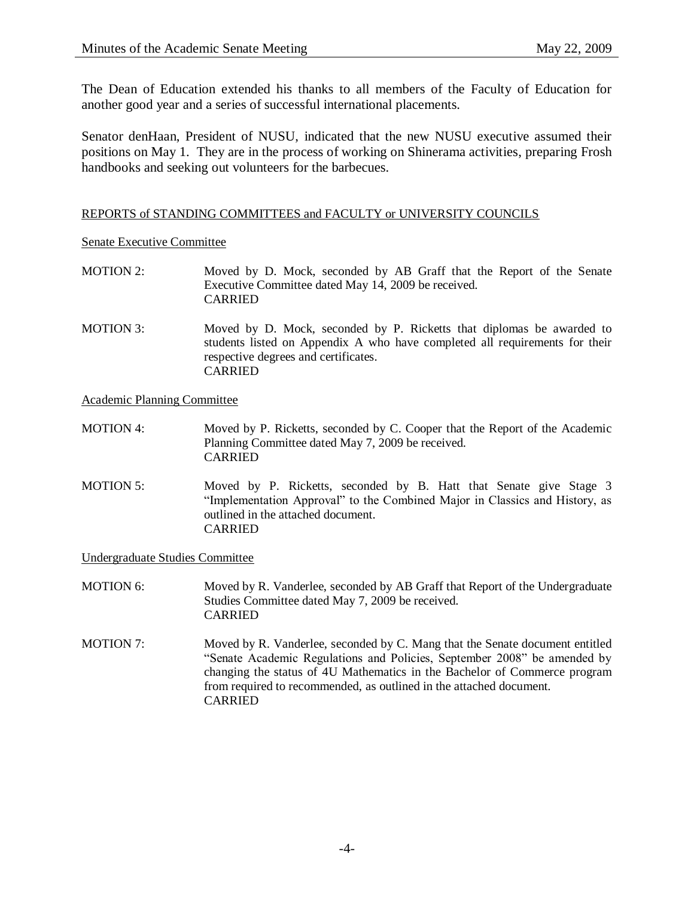The Dean of Education extended his thanks to all members of the Faculty of Education for another good year and a series of successful international placements.

Senator denHaan, President of NUSU, indicated that the new NUSU executive assumed their positions on May 1. They are in the process of working on Shinerama activities, preparing Frosh handbooks and seeking out volunteers for the barbecues.

#### REPORTS of STANDING COMMITTEES and FACULTY or UNIVERSITY COUNCILS

Senate Executive Committee

- MOTION 2: Moved by D. Mock, seconded by AB Graff that the Report of the Senate Executive Committee dated May 14, 2009 be received. CARRIED
- MOTION 3: Moved by D. Mock, seconded by P. Ricketts that diplomas be awarded to students listed on Appendix A who have completed all requirements for their respective degrees and certificates. CARRIED

Academic Planning Committee

- MOTION 4: Moved by P. Ricketts, seconded by C. Cooper that the Report of the Academic Planning Committee dated May 7, 2009 be received. CARRIED
- MOTION 5: Moved by P. Ricketts, seconded by B. Hatt that Senate give Stage 3 "Implementation Approval" to the Combined Major in Classics and History, as outlined in the attached document. CARRIED

Undergraduate Studies Committee

- MOTION 6: Moved by R. Vanderlee, seconded by AB Graff that Report of the Undergraduate Studies Committee dated May 7, 2009 be received. CARRIED
- MOTION 7: Moved by R. Vanderlee, seconded by C. Mang that the Senate document entitled "Senate Academic Regulations and Policies, September 2008" be amended by changing the status of 4U Mathematics in the Bachelor of Commerce program from required to recommended, as outlined in the attached document. CARRIED